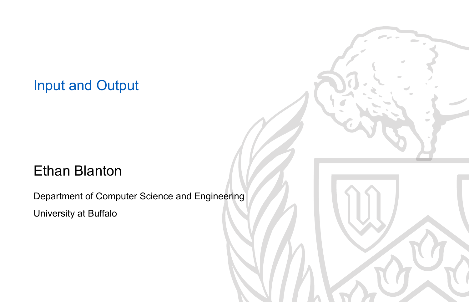#### Input and Output

#### Ethan Blanton

Department of Computer Science and Engineering University at Buffalo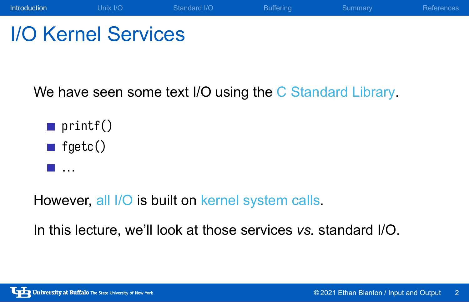### **Introduction** Unix I/O Standard I/O Buffering Summary References I/O Kernel Services

We have seen some text I/O using the C Standard Library.

- $\blacksquare$  printf()
- $\blacksquare$  fgetc()
- **■** …

However, all I/O is built on kernel system calls.

In this lecture, we'll look at those services *vs.* standard I/O.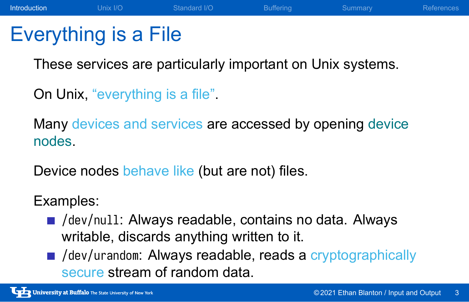### Everything is a File

These services are particularly important on Unix systems.

**Introduction** Unix I/O Standard I/O Buffering Summary References

On Unix, "everything is a file".

Many devices and services are accessed by opening device nodes.

Device nodes behave like (but are not) files.

#### Examples:

- /dev/null: Always readable, contains no data. Always writable, discards anything written to it.
- /dev/urandom: Always readable, reads a cryptographically secure stream of random data.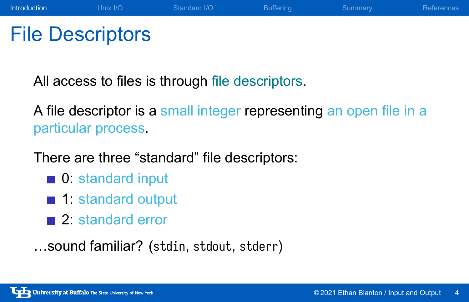### File Descriptors

All access to files is through file descriptors.

A file descriptor is a small integer representing an open file in a particular process.

There are three "standard" file descriptors:

- **0**: standard input
- 1: standard output
- 2: standard error
- …sound familiar? (stdin, stdout, stderr)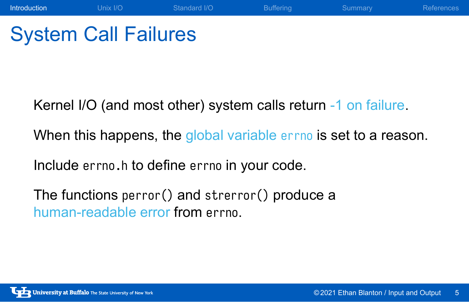## System Call Failures

Kernel I/O (and most other) system calls return -1 on failure.

When this happens, the global variable errno is set to a reason.

Introduction **Unix I/O** Standard I/O Buffering Summary References

Include errno.h to define errno in your code.

The functions perror() and strerror() produce a human-readable error from errno.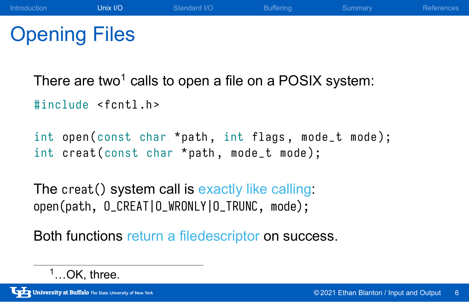### Opening Files

There are two<sup>1</sup> calls to open a file on a POSIX system:

#include <fcntl.h>

```
int open ( const char * path, int flags, mode_t mode);
int creat ( const char *path, mode_t mode);
```
The creat() system call is exactly like calling: open(path, O\_CREAT|O\_WRONLY|O\_TRUNC, mode);

Both functions return a filedescriptor on success.

 $1...$ OK, three.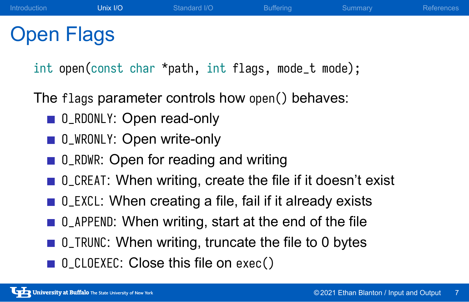### Open Flags

int open(const char \*path, int flags, mode\_t mode);

The flags parameter controls how open() behaves:

- 0\_RDONLY: Open read-only
- 0\_WRONLY: Open write-only
- 0\_RDWR: Open for reading and writing
- 0\_CREAT: When writing, create the file if it doesn't exist
- 0\_EXCL: When creating a file, fail if it already exists
- 0\_APPEND: When writing, start at the end of the file
- 0\_TRUNC: When writing, truncate the file to 0 bytes
- O\_CLOEXEC: Close this file on exec()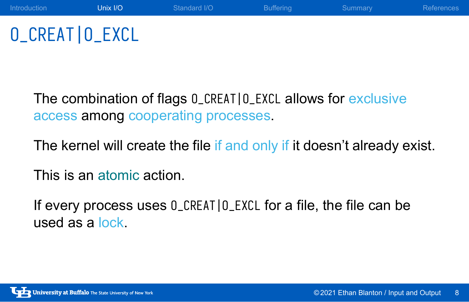## O\_CREAT|O\_EXCL

The combination of flags O\_CREAT|O\_EXCL allows for exclusive access among cooperating processes.

The kernel will create the file if and only if it doesn't already exist.

Introduction **Unix I/O** Standard I/O Buffering Summary References

This is an atomic action.

If every process uses O\_CREAT|O\_EXCL for a file, the file can be used as a lock.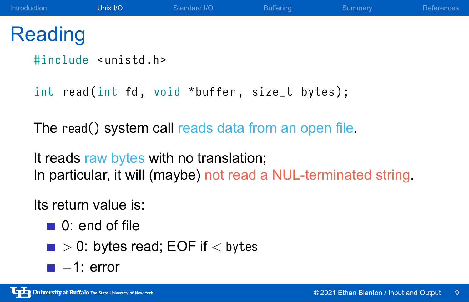### **Reading**

#include <unistd.h>

int read (int fd, void \*buffer, size\_t bytes);

The read() system call reads data from an open file.

It reads raw bytes with no translation; In particular, it will (maybe) not read a NUL-terminated string.

Its return value is:

- 0: end of file
- *>* 0: bytes read; EOF if *<* bytes
- *−*1: error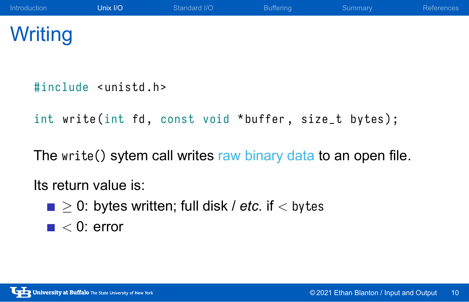## **Writing**

#include <unistd.h>

int write (int fd, const void \*buffer, size\_t bytes);

The write() sytem call writes raw binary data to an open file.

Its return value is:

- *≥* 0: bytes written; full disk / *etc.* if *<* bytes
- $\blacksquare$  < 0: error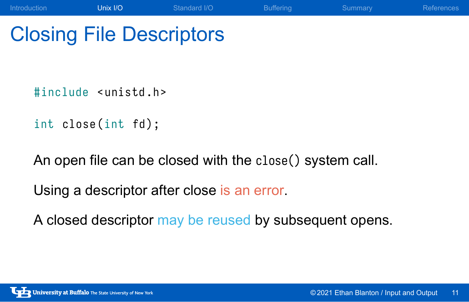## Closing File Descriptors

#include <unistd.h>

int close(int fd);

An open file can be closed with the close() system call.

Introduction **Unix I/O** Standard I/O Buffering Summary References

Using a descriptor after close is an error.

A closed descriptor may be reused by subsequent opens.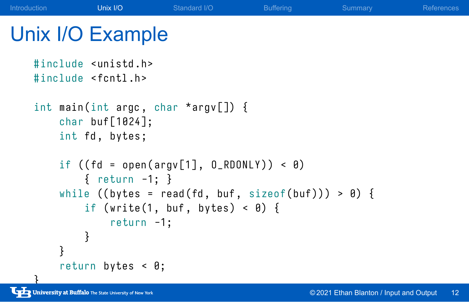### Unix I/O Example #include <unistd.h>

```
#include <fcntl.h>
    int main (int argc, char *argv[]) {
        char buf [1024];
        int fd, bytes;
        if (( fd = open(argv[1], 0_RDONLY)) < 0){ return -1; }
        while ((bytes = read(fd, but, sizeof(buf))) > 0) {
             if (write(1, buf, bytes) < \theta) {
                  return -1;
             }
        }
         return bytes < 0;
B<br>University at Buffalo The State University of New York
```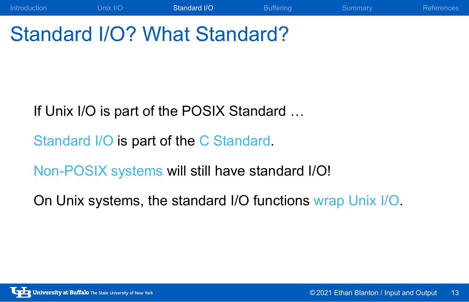## Standard I/O? What Standard?

If Unix I/O is part of the POSIX Standard …

Standard I/O is part of the C Standard.

Non-POSIX systems will still have standard I/O!

On Unix systems, the standard I/O functions wrap Unix I/O.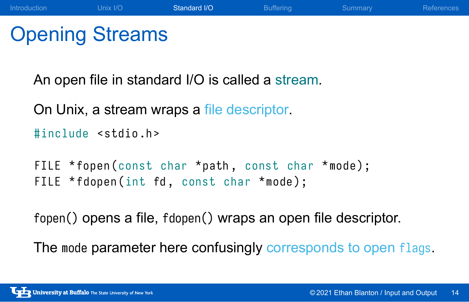### Opening Streams

An open file in standard I/O is called a stream.

On Unix, a stream wraps a file descriptor.

#include <stdio.h>

```
FILE *fopen (const char *path, const char *mode);
FILE *fdopen(int fd, const char *mode);
```
fopen() opens a file, fdopen() wraps an open file descriptor.

The mode parameter here confusingly corresponds to open flags.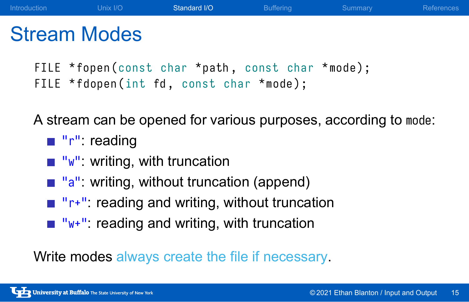```
FILE *fopen (const char *path, const char *mode);
FILE *fdopen(int fd, const char *mode);
```
A stream can be opened for various purposes, according to mode:

- $\blacksquare$  "r": reading
- $\blacksquare$  "w": writing, with truncation
- **u** "a": writing, without truncation (append)
- "r+": reading and writing, without truncation
- $\blacksquare$  "w+": reading and writing, with truncation

Write modes always create the file if necessary.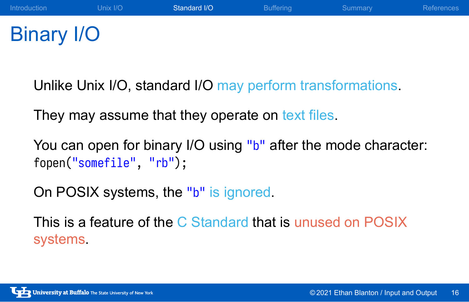### Binary I/O

Unlike Unix I/O, standard I/O may perform transformations.

They may assume that they operate on text files.

You can open for binary I/O using "b" after the mode character: fopen("somefile", "rb");

On POSIX systems, the "b" is ignored.

This is a feature of the C Standard that is unused on POSIX systems.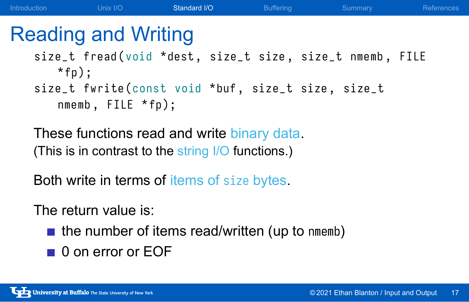### Reading and Writing

size\_t fread (void \*dest, size\_t size, size\_t nmemb, FILE  $*$  fp $);$ size\_t fwrite (const void \*buf, size\_t size, size\_t nmemb, FILE \*fp);

These functions read and write binary data. (This is in contrast to the string I/O functions.)

Both write in terms of items of size bytes.

The return value is:

- $\blacksquare$  the number of items read/written (up to nmemb)
- 0 on error or EOF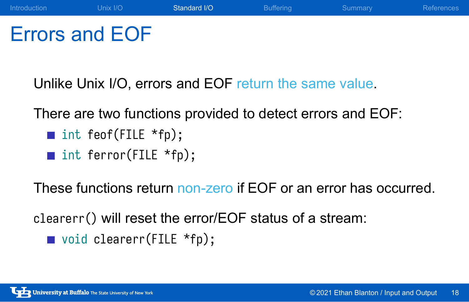### Errors and EOF

Unlike Unix I/O, errors and EOF return the same value.

There are two functions provided to detect errors and EOF:

- int feof(FILE \*fp);
- int ferror(FILE \*fp);

These functions return non-zero if EOF or an error has occurred.

clearerr() will reset the error/EOF status of a stream:

void clearerr(FILE \*fp);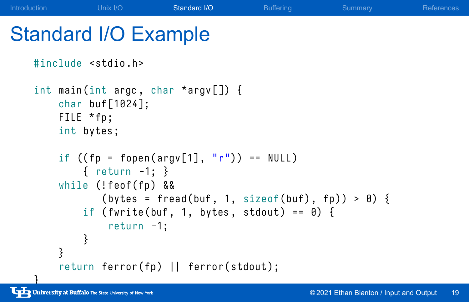### Standard I/O Example

```
#include <stdio.h>
    int main (int argc, char * argv[]) \{char buf [1024];
        FILE *fp;
        int bytes ;
        if ((fp = fopen(argv[1], "r")) == NULL){ return -1; }
        while (!feof(fp) &&
                (bytes = freqd(buf, 1, sizeof(buf), fp)) > 0)if (fwrite(buf, 1, bytes, stdout) == \theta) {
                 return -1;
             }
        }
        return ferror (fp) || ferror (stdout);
University at Buffalo The State University of New York
```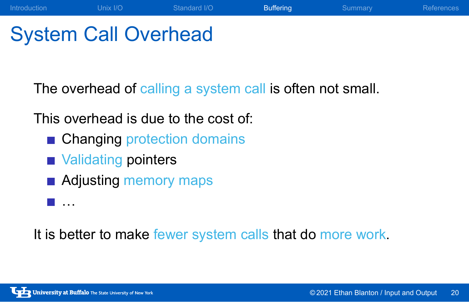## System Call Overhead

The overhead of calling a system call is often not small.

Introduction **Unix I/O** Standard I/O **Buffering** Summary References

This overhead is due to the cost of:

- Changing protection domains
- **Nalidating pointers**
- **Adjusting memory maps**
- <u>∎</u> …

It is better to make fewer system calls that do more work.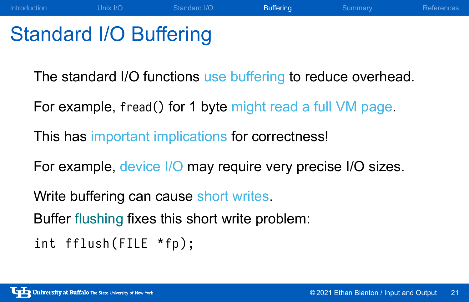### Standard I/O Buffering

The standard I/O functions use buffering to reduce overhead.

Introduction **Unix I/O** Standard I/O **Buffering** Summary References

For example, fread() for 1 byte might read a full VM page.

This has important implications for correctness!

For example, device I/O may require very precise I/O sizes.

Write buffering can cause short writes.

Buffer flushing fixes this short write problem:

int fflush (FILE \*fp);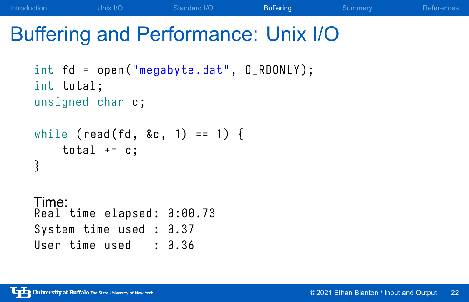## Buffering and Performance: Unix I/O

```
int fd = open("megabyte.dat", O_RDONLY);
int total ;
unsigned char c;
while (read(fd, &c, 1) == 1) {
    total += c;}
Time:
Real time elapsed : 0:00.73
System time used : 0.37
User time used : 0.36
```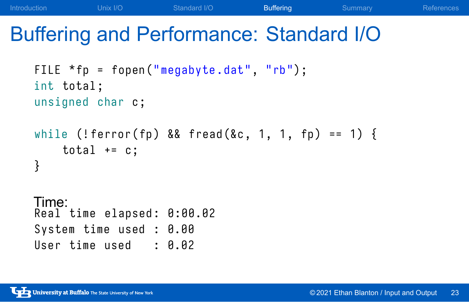## Buffering and Performance: Standard I/O

```
FILE *fp = fopen("megabyte.dat", "rb");
int total ;
unsigned char c;
while (!ferror(fp) && fread (&c, 1, 1, fp) == 1) {
    total += c;
}
Time:
Real time elapsed : 0:00.02
System time used : 0.00
User time used : 0.02
```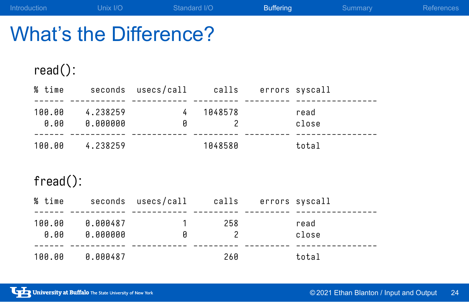| What's the Difference? |                               |                                                |              |                                    |               |  |  |  |  |
|------------------------|-------------------------------|------------------------------------------------|--------------|------------------------------------|---------------|--|--|--|--|
| $read()$ :             |                               | % time seconds usecs/call calls errors syscall |              |                                    |               |  |  |  |  |
|                        | 100.00 4.238259<br>0.00000000 | $\overline{4}$<br>ø                            | 1048578<br>2 |                                    | read<br>close |  |  |  |  |
| 100.00                 | 4.238259                      |                                                | 1048580      |                                    | total         |  |  |  |  |
| $fread()$ :            |                               |                                                |              |                                    |               |  |  |  |  |
| % time                 |                               | seconds usecs/call calls errors_syscall        |              |                                    |               |  |  |  |  |
| 00 001                 | rojana a                      | $\sim$                                         | <b>OEO</b>   | $\sim$ $\sim$ $\sim$ $\sim$ $\sim$ |               |  |  |  |  |

| 100.00<br>A.AA | A.AAA487<br>A.AAAAAA | Й | 258 | read<br>close |
|----------------|----------------------|---|-----|---------------|
|                |                      |   |     |               |
| 100.00         | 0.000487             |   | 260 | total         |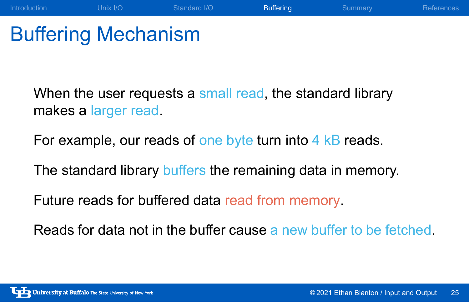### Buffering Mechanism

When the user requests a small read, the standard library makes a larger read.

Introduction **Unix I/O** Standard I/O **Buffering** Summary References

For example, our reads of one byte turn into 4 kB reads.

The standard library buffers the remaining data in memory.

Future reads for buffered data read from memory.

Reads for data not in the buffer cause a new buffer to be fetched.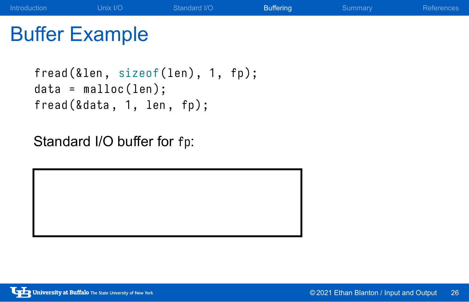## Buffer Example

```
fread (& len, sizeof (len), 1, fp);
data = malloc(len);
fread (& data, 1, len, fp);
```
Standard I/O buffer for fp: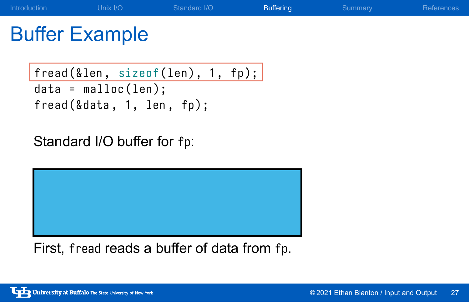## Buffer Example

```
fread (& len, sizeof (len), 1, fp);
data = malloc(len);fread (& data, 1, len, fp);
```
Standard I/O buffer for fp:



First, fread reads a buffer of data from fp.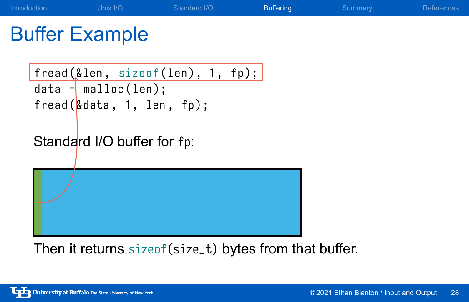## Buffer Example

fread (& len , sizeof ( len ) , 1 , fp ) ; data = malloc ( len ) ; fread (& data , 1 , len , fp ) ;

Standard I/O buffer for fp:

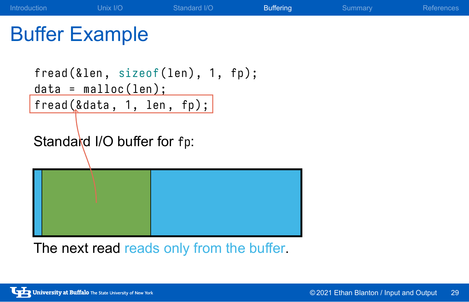# Buffer Example fread (& len, sizeof (len), 1, fp);

```
data = malloc(len);fread (& data, 1, len, fp);
Standard I/O buffer for fp:
```


The next read reads only from the buffer.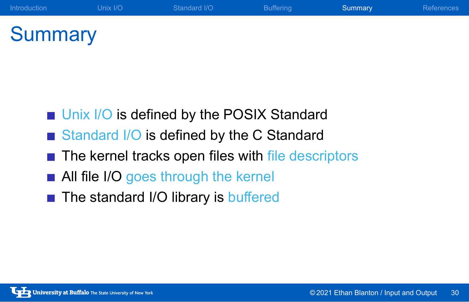# **Summary**

- **Unix I/O is defined by the POSIX Standard**
- Standard I/O is defined by the C Standard
- The kernel tracks open files with file descriptors

Introduction **Contact Unix I/O** Standard I/O Buffering Summary Summary References

- All file I/O goes through the kernel
- The standard I/O library is buffered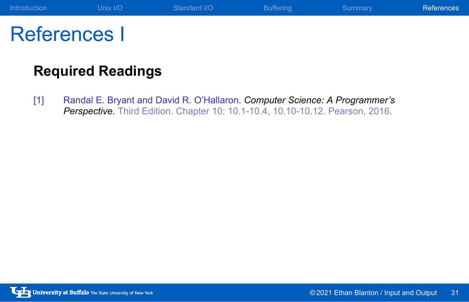### References I

### **Required Readings**

[1] Randal E. Bryant and David R. O'Hallaron. *Computer Science: A Programmer's Perspective*. Third Edition. Chapter 10: 10.1-10.4, 10.10-10.12. Pearson, 2016.